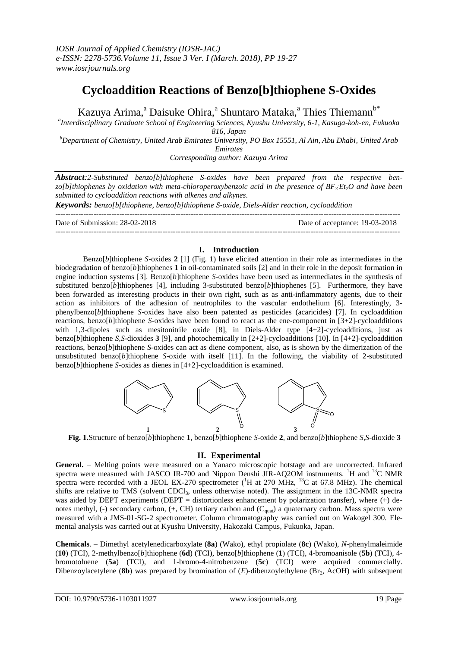# **Cycloaddition Reactions of Benzo[b]thiophene S-Oxides**

Kazuya Arima,<sup>a</sup> Daisuke Ohira,<sup>a</sup> Shuntaro Mataka,<sup>a</sup> Thies Thiemann<sup>b\*</sup>

*a Interdisciplinary Graduate School of Engineering Sciences, Kyushu University, 6-1, Kasuga-koh-en, Fukuoka 816, Japan*

*<sup>b</sup>Department of Chemistry, United Arab Emirates University, PO Box 15551, Al Ain, Abu Dhabi, United Arab Emirates*

*Corresponding author: Kazuya Arima*

*Abstract:2-Substituted benzo[b]thiophene S-oxides have been prepared from the respective benzo[b]thiophenes by oxidation with meta-chloroperoxybenzoic acid in the presence of BF<sup>3</sup> .Et2O and have been submitted to cycloaddition reactions with alkenes and alkynes.*

*Keywords: benzo[b[thiophene, benzo[b]thiophene S-oxide, Diels-Alder reaction, cycloaddition* ---------------------------------------------------------------------------------------------------------------------------------------

Date of Submission: 28-02-2018 Date of acceptance: 19-03-2018

---------------------------------------------------------------------------------------------------------------------------------------

## **I. Introduction**

Benzo[*b*]thiophene *S*-oxides **2** [1] (Fig. 1) have elicited attention in their role as intermediates in the biodegradation of benzo[*b*]thiophenes **1** in oil-contaminated soils [2] and in their role in the deposit formation in engine induction systems [3]. Benzo[*b*]thiophene *S*-oxides have been used as intermediates in the synthesis of substituted benzo[*b*]thiophenes [4], including 3-substituted benzo[*b*]thiophenes [5]. Furthermore, they have been forwarded as interesting products in their own right, such as as anti-inflammatory agents, due to their action as inhibitors of the adhesion of neutrophiles to the vascular endothelium [6]. Interestingly, 3 phenylbenzo[*b*]thiophene *S*-oxides have also been patented as pesticides (acaricides) [7]. In cycloaddition reactions, benzo[*b*]thiophene *S*-oxides have been found to react as the ene-component in [3+2]-cycloadditions with 1,3-dipoles such as mesitonitrile oxide [8], in Diels-Alder type [4+2]-cycloadditions, just as benzo[*b*]thiophene *S*,*S*-dioxides **3** [9], and photochemically in [2+2]-cycloadditions [10]. In [4+2]-cycloaddition reactions, benzo[*b*]thiophene *S*-oxides can act as diene component, also, as is shown by the dimerization of the unsubstituted benzo $[b]$ thiophene *S*-oxide with itself [11]. In the following, the viability of 2-substituted benzo[*b*]thiophene *S*-oxides as dienes in [4+2]-cycloaddition is examined.



**Fig. 1.**Structure of benzo[*b*]thiophene **1**, benzo[*b*]thiophene *S*-oxide **2**, and benzo[*b*]thiophene *S*,*S*-dioxide **3**

### **II. Experimental**

General. – Melting points were measured on a Yanaco microscopic hotstage and are uncorrected. Infrared spectra were measured with JASCO IR-700 and Nippon Denshi JIR-AQ2OM instruments. <sup>1</sup>H and <sup>13</sup>C NMR spectra were recorded with a JEOL EX-270 spectrometer ( ${}^{1}H$  at 270 MHz,  ${}^{13}C$  at 67.8 MHz). The chemical shifts are relative to TMS (solvent CDCl<sub>3</sub>, unless otherwise noted). The assignment in the 13C-NMR spectra was aided by DEPT experiments (DEPT = distortionless enhancement by polarization transfer), where  $(+)$  denotes methyl, (-) secondary carbon, (+, CH) tertiary carbon and (C<sub>quat</sub>) a quaternary carbon. Mass spectra were measured with a JMS-01-SG-2 spectrometer. Column chromatography was carried out on Wakogel 300. Elemental analysis was carried out at Kyushu University, Hakozaki Campus, Fukuoka, Japan.

**Chemicals**. – Dimethyl acetylenedicarboxylate (**8a**) (Wako), ethyl propiolate (**8c**) (Wako), *N*-phenylmaleimide (**10**) (TCI), 2-methylbenzo[*b*]thiophene (**6d**) (TCI), benzo[*b*]thiophene (**1**) (TCI), 4-bromoanisole (**5b**) (TCI), 4 bromotoluene (**5a**) (TCI), and 1-bromo-4-nitrobenzene (**5c**) (TCI) were acquired commercially. Dibenzoylacetylene (8b) was prepared by bromination of (*E*)-dibenzoylethylene (Br<sub>2</sub>, AcOH) with subsequent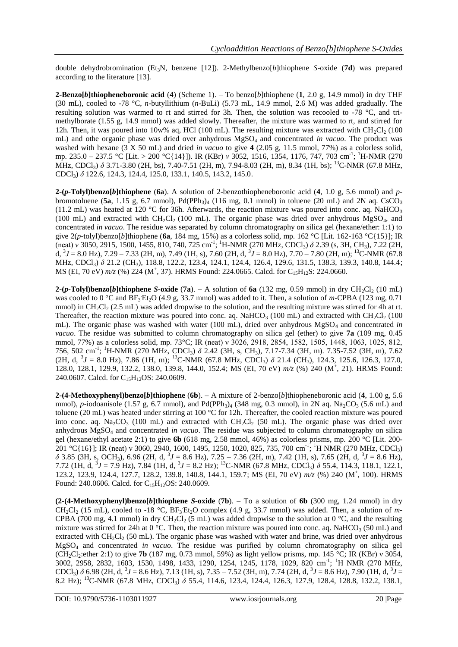double dehydrobromination (Et3N, benzene [12]). 2-Methylbenzo[*b*]thiophene *S*-oxide (**7d**) was prepared according to the literature [13].

**2-Benzo[***b***]thiopheneboronic acid** (**4**) (Scheme 1). – To benzo[*b*]thiophene (**1**, 2.0 g, 14.9 mmol) in dry THF (30 mL), cooled to -78 °C, *n*-butyllithium (*n*-BuLi) (5.73 mL, 14.9 mmol, 2.6 M) was added gradually. The resulting solution was warmed to rt and stirred for 3h. Then, the solution was recooled to -78 °C, and trimethylborate (1.55 g, 14.9 mmol) was added slowly. Thereafter, the mixture was warmed to rt, and stirred for 12h. Then, it was poured into 10w% aq, HCl (100 mL). The resulting mixture was extracted with  $CH_2Cl_2$  (100 mL) and othe organic phase was dried over anhydrous MgSO<sup>4</sup> and concentrated *in vacuo*. The product was washed with hexane (3 X 50 mL) and dried *in vacuo* to give **4** (2.05 g, 11.5 mmol, 77%) as a colorless solid, mp. 235.0 – 237.5 °C [Lit. > 200 °C{14}]). IR (KBr) *ν* 3052, 1516, 1354, 1176, 747, 703 cm<sup>-1</sup>; <sup>1</sup>H-NMR (270 MHz, CDCl<sub>3</sub>)  $\delta$  3.71-3.80 (2H, bs), 7.40-7.51 (2H, m), 7.94-8.03 (2H, m), 8.34 (1H, bs); <sup>13</sup>C-NMR (67.8 MHz, CDCl3) *δ* 122.6, 124.3, 124.4, 125.0, 133.1, 140.5, 143.2, 145.0.

**2-(***p***-Tolyl)benzo[***b***]thiophene (6a**). A solution of 2-benzothiopheneboronic acid (4, 1.0 g, 5.6 mmol) and *p*bromotoluene (**5a**, 1.15 g, 6.7 mmol), Pd(PPh<sub>3</sub>)<sub>4</sub> (116 mg, 0.1 mmol) in toluene (20 mL) and 2N aq. CsCO<sub>3</sub> (11.2 mL) was heated at 120 °C for 36h. Afterwards, the reaction mixture was poured into conc. aq. NaHCO<sub>3</sub> (100 mL) and extracted with  $CH_2Cl_2$  (100 mL). The organic phase was dried over anhydrous  $MgSO_4$ , and concentrated *in vacuo*. The residue was separated by column chromatography on silica gel (hexane/ether: 1:1) to give 2(*p*-tolyl)benzo[*b*]thiophene (**6a**, 184 mg, 15%) as a colorless solid, mp. 162 °C [Lit. 162-163 °C{15}]; IR (neat) v 3050, 2915, 1500, 1455, 810, 740, 725 cm<sup>-1</sup>; <sup>1</sup>H-NMR (270 MHz, CDCl<sub>3</sub>) δ 2.39 (s, 3H, CH<sub>3</sub>), 7.22 (2H, d,  ${}^{3}J = 8.0$  Hz),  $7.29 - 7.33$  (2H, m),  $7.49$  (1H, s),  $7.60$  (2H, d,  ${}^{3}J = 8.0$  Hz),  $7.70 - 7.80$  (2H, m);  ${}^{13}$ C-NMR (67.8) MHz, CDCl<sub>3</sub>) δ 21.2 (CH<sub>3</sub>), 118.8, 122.2, 123.4, 124.1, 124.4, 126.4, 129.6, 131.5, 138.3, 139.3, 140.8, 144.4; MS (EI, 70 eV)  $m/z$  (%) 224 (M<sup>+</sup>, 37). HRMS Found: 224.0665. Calcd. for C<sub>15</sub>H<sub>12</sub>S: 224.0660.

**2-(***p***-Tolyl)benzo[***b***]thiophene** *S***-oxide (7a). – A solution of 6a (132 mg, 0.59 mmol) in dry CH<sub>2</sub>Cl<sub>2</sub> (10 mL)** was cooled to 0 °C and BF<sub>3</sub> Et<sub>2</sub>O (4.9 g, 33.7 mmol) was added to it. Then, a solution of *m*-CPBA (123 mg, 0.71 mmol) in  $CH_2Cl_2$  (2.5 mL) was added dropwise to the solution, and the resulting mixture was stirred for 4h at rt. Thereafter, the reaction mixture was poured into conc. aq. NaHCO<sub>3</sub> (100 mL) and extracted with CH<sub>2</sub>Cl<sub>2</sub> (100 mL). The organic phase was washed with water (100 mL), dried over anhydrous MgSO<sub>4</sub> and concentrated *in vacuo*. The residue was submitted to column chromatography on silica gel (ether) to give **7a** (109 mg, 0.45 mmol, 77%) as a colorless solid, mp. 73°C; IR (neat) v 3026, 2918, 2854, 1582, 1505, 1448, 1063, 1025, 812, 756, 502 cm-1 ; <sup>1</sup>H-NMR (270 MHz, CDCl3) *δ* 2.42 (3H, s, CH3), 7.17-7.34 (3H, m). 7.35-7.52 (3H, m), 7.62  $(2H, d, {}^{3}J = 8.0 \text{ Hz})$ , 7.86 (1H, m); <sup>13</sup>C-NMR (67.8 MHz, CDCl<sub>3</sub>)  $\delta$  21.4 (CH<sub>3</sub>), 124.3, 125.6, 126.3, 127.0, 128.0, 128.1, 129.9, 132.2, 138.0, 139.8, 144.0, 152.4; MS (EI, 70 eV)  $m/z$  (%) 240 (M<sup>+</sup>, 21). HRMS Found: 240.0607. Calcd. for C<sub>15</sub>H<sub>12</sub>OS: 240.0609.

**2-(4-Methoxyphenyl)benzo[***b***]thiophene** (**6b**). – A mixture of 2-benzo[*b*]thiopheneboronic acid (**4**, 1.00 g, 5.6 mmol), *p*-iodoanisole (1.57 g, 6.7 mmol), and Pd(PPh<sub>3</sub>)<sub>4</sub> (348 mg, 0.3 mmol), in 2N aq. Na<sub>2</sub>CO<sub>3</sub> (5.6 mL) and toluene (20 mL) was heated under stirring at 100 °C for 12h. Thereafter, the cooled reaction mixture was poured into conc. aq.  $\text{Na}_2\text{CO}_3$  (100 mL) and extracted with  $\text{CH}_2\text{Cl}_2$  (50 mL). The organic phase was dried over anhydrous MgSO<sup>4</sup> and concentrated *in vacuo*. The residue was subjected to column chromatography on silica gel (hexane/ethyl acetate 2:1) to give **6b** (618 mg, 2.58 mmol, 46%) as colorless prisms, mp. 200 °C [Lit. 200- 201 °C{16}]; IR (neat) v 3060, 2940, 1600, 1495, 1250, 1020, 825, 735, 700 cm<sup>-1</sup>; <sup>1</sup>H NMR (270 MHz, CDCl<sub>3</sub>) *δ* 3.85 (3H, s, OCH3), 6.96 (2H, d, <sup>3</sup> *J* = 8.6 Hz), 7.25 – 7.36 (2H, m), 7.42 (1H, s), 7.65 (2H, d, <sup>3</sup> *J* = 8.6 Hz), 7.72 (1H, d,  ${}^{3}J$  = 7.9 Hz), 7.84 (1H, d,  ${}^{3}J$  = 8.2 Hz); <sup>13</sup>C-NMR (67.8 MHz, CDCl<sub>3</sub>)  $\delta$  55.4, 114.3, 118.1, 122.1, 123.2, 123.9, 124.4, 127.7, 128.2, 139.8, 140.8, 144.1, 159.7; MS (EI, 70 eV)  $m/z$  (%) 240 (M<sup>+</sup>, 100). HRMS Found: 240.0606. Calcd. for  $C_{15}H_{12}OS$ : 240.0609.

**(2-(4-Methoxyphenyl)benzo[***b***]thiophene** *S***-oxide** (**7b**). – To a solution of **6b** (300 mg, 1.24 mmol) in dry  $CH_2Cl_2$  (15 mL), cooled to -18 °C,  $BF_3Et_2O$  complex (4.9 g, 33.7 mmol) was added. Then, a solution of *m*-CPBA (700 mg, 4.1 mmol) in dry CH<sub>2</sub>Cl<sub>2</sub> (5 mL) was added dropwise to the solution at 0 °C, and the resulting mixture was stirred for 24h at 0 °C. Then, the reaction mixture was poured into conc. aq. NaHCO<sub>3</sub> (50 mL) and extracted with  $CH_2Cl_2$  (50 mL). The organic phase was washed with water and brine, was dried over anhydrous MgSO<sup>4</sup> and concentrated *in vacuo*. The residue was purified by column chromatography on silica gel (CH2Cl2:ether 2:1) to give **7b** (187 mg, 0.73 mmol, 59%) as light yellow prisms, mp. 145 °C; IR (KBr) ν 3054, 3002, 2958, 2832, 1603, 1530, 1498, 1433, 1290, 1254, 1245, 1178, 1029, 820 cm<sup>-1</sup>; <sup>1</sup>H NMR (270 MHz,  $CDCl_3$ )  $\delta$  6.98 (2H, d,  $\delta$  *J* = 8.6 Hz), 7.13 (1H, s), 7.35 – 7.52 (3H, m), 7.74 (2H, d,  $\delta$  *J* = 8.6 Hz), 7.90 (1H, d,  $\delta$ *J* = 8.2 Hz); <sup>13</sup>C-NMR (67.8 MHz, CDCl3) *δ* 55.4, 114.6, 123.4, 124.4, 126.3, 127.9, 128.4, 128.8, 132.2, 138.1,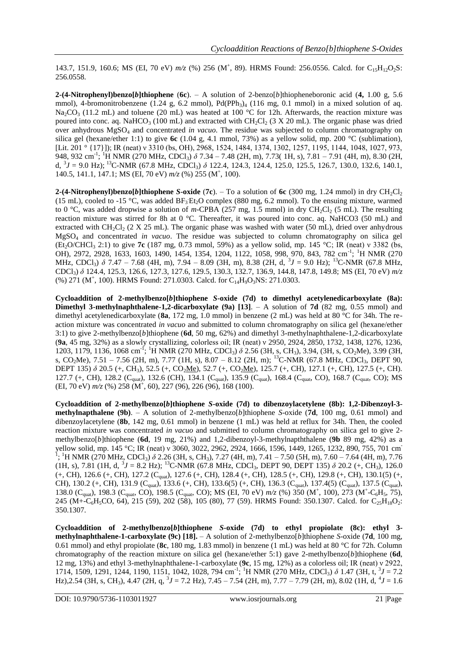143.7, 151.9, 160.6; MS (EI, 70 eV)  $m/z$  (%) 256 (M<sup>+</sup>, 89). HRMS Found: 256.0556. Calcd. for C<sub>15</sub>H<sub>12</sub>O<sub>2</sub>S: 256.0558.

**2-(4-Nitrophenyl)benzo[***b*]thiophene (6c). – A solution of 2-benzo[*b*]thiopheneboronic acid (4, 1.00 g, 5.6) mmol), 4-bromonitrobenzene (1.24 g, 6.2 mmol),  $Pd(PPh<sub>3</sub>)<sub>4</sub>$  (116 mg, 0.1 mmol) in a mixed solution of aq. Na<sub>2</sub>CO<sub>3</sub> (11.2 mL) and toluene (20 mL) was heated at 100 °C for 12h. Afterwards, the reaction mixture was poured into conc. aq. NaHCO<sub>3</sub> (100 mL) and extracted with CH<sub>2</sub>Cl<sub>2</sub> (3 X 20 mL). The organic phase was dried over anhydrous MgSO<sub>4</sub> and concentrated *in vacuo*. The residue was subjected to column chromatography on silica gel (hexane/ether 1:1) to give **6c** (1.04 g, 4.1 mmol, 73%) as a yellow solid, mp. 200 °C (sublimation), [Lit. 201 ° {17}]); IR (neat) ν 3310 (bs, OH), 2968, 1524, 1484, 1374, 1302, 1257, 1195, 1144, 1048, 1027, 973, 948, 932 cm<sup>-1</sup>; <sup>1</sup>H NMR (270 MHz, CDCl<sub>3</sub>) δ 7.34 – 7.48 (2H, m), 7.73( 1H, s), 7.81 – 7.91 (4H, m), 8.30 (2H, d,  ${}^{3}J = 9.0$  Hz); <sup>13</sup>C-NMR (67.8 MHz, CDCl<sub>3</sub>)  $\delta$  122.4, 124.3, 124.4, 125.0, 125.5, 126.7, 130.0, 132.6, 140.1, 140.5, 141.1, 147.1; MS (EI, 70 eV)  $m/z$  (%) 255 (M<sup>+</sup>, 100).

**2-(4-Nitrophenyl)benzo[***b***]thiophene** *S***-oxide (7c**). – To a solution of 6c (300 mg, 1.24 mmol) in dry CH<sub>2</sub>Cl<sub>2</sub> (15 mL), cooled to -15 °C, was added  $BF_3Et_2O$  complex (880 mg, 6.2 mmol). To the ensuing mixture, warmed to 0 °C, was added dropwise a solution of m-CPBA (257 mg, 1.5 mmol) in dry CH<sub>2</sub>Cl<sub>2</sub> (5 mL). The resulting reaction mixture was stirred for 8h at 0 °C. Thereafter, it was poured into conc. aq. NaHCO3 (50 mL) and extracted with CH<sub>2</sub>Cl<sub>2</sub> (2 X 25 mL). The organic phase was washed with water (50 mL), dried over anhydrous MgSO<sup>4</sup> and concentrated *in vacuo*. The residue was subjected to column chromatography on silica gel (Et2O/CHCl<sup>3</sup> 2:1) to give **7c** (187 mg, 0.73 mmol, 59%) as a yellow solid, mp. 145 °C; IR (neat) ν 3382 (bs, OH), 2972, 2928, 1633, 1603, 1490, 1454, 1354, 1204, 1122, 1058, 998, 970, 843, 782 cm<sup>-1</sup>; <sup>1</sup>H NMR (270 MHz, CDCl<sub>3</sub>) δ 7.47 – 7.68 (4H, m), 7.94 – 8.09 (3H, m), 8.38 (2H, d, <sup>3</sup>J = 9.0 Hz); <sup>13</sup>C-NMR (67.8 MHz, CDCl3) *δ* 124.4, 125.3, 126.6, 127.3, 127.6, 129.5, 130.3, 132.7, 136.9, 144.8, 147.8, 149.8; MS (EI, 70 eV) *m/z* (%) 271 (M<sup>+</sup>, 100). HRMS Found: 271.0303. Calcd. for C<sub>14</sub>H<sub>9</sub>O<sub>3</sub>NS: 271.0303.

**Cycloaddition of 2-methylbenzo[***b***]thiophene** *S***-oxide (7d) to dimethyl acetylenedicarboxylate (8a): Dimethyl 3-methylnaphthalene-1,2-dicarboxylate (9a) [13]**. – A solution of **7d** (82 mg, 0.55 mmol) and dimethyl acetylenedicarboxylate (**8a**, 172 mg, 1.0 mmol) in benzene (2 mL) was held at 80 °C for 34h. The reaction mixture was concentrated *in vacuo* and submitted to column chromatography on silica gel (hexane/ether 3:1) to give 2-methylbenzo[*b*]thiophene (**6d**, 50 mg, 62%) and dimethyl 3-methylnaphthalene-1,2-dicarboxylate (**9a**, 45 mg, 32%) as a slowly crystallizing, colorless oil; IR (neat) ν 2950, 2924, 2850, 1732, 1438, 1276, 1236, 1203, 1179, 1136, 1068 cm<sup>-1</sup>; <sup>1</sup>H NMR (270 MHz, CDCl<sub>3</sub>)  $\delta$  2.56 (3H, s, CH<sub>3</sub>), 3.94, (3H, s, CO<sub>2</sub>Me), 3.99 (3H, s, CO<sub>2</sub>Me), 7.51 – 7.56 (2H, m), 7.77 (1H, s), 8.07 – 8.12 (2H, m); <sup>13</sup>C-NMR (67.8 MHz, CDCl<sub>3</sub>, DEPT 90, DEPT 135) *δ* 20.5 (+, CH<sub>3</sub>), 52.5 (+, CO<sub>2</sub>Me), 52.7 (+, CO<sub>2</sub>Me), 125.7 (+, CH), 127.1 (+, CH), 127.5 (+, CH). 127.7 (+, CH), 128.2 (C<sub>quat</sub>), 132.6 (CH), 134.1 (C<sub>quat</sub>), 135.9 (C<sub>quat</sub>), 168.4 (C<sub>quat</sub>, CO), 168.7 (C<sub>quat</sub>, CO); MS (EI, 70 eV)  $m/z$  (%) 258 (M<sup>+</sup>, 60), 227 (96), 226 (96), 168 (100).

**Cycloaddition of 2-methylbenzo[***b***]thiophene** *S***-oxide (7d) to dibenzoylacetylene (8b): 1,2-Dibenzoyl-3 methylnapthalene (9b)**. – A solution of 2-methylbenzo[*b*]thiophene *S*-oxide (**7d**, 100 mg, 0.61 mmol) and dibenzoylacetylene (**8b**, 142 mg, 0.61 mmol) in benzene (1 mL) was held at reflux for 34h. Then, the cooled reaction mixture was concentrated *in vacuo* and submitted to column chromatography on silica gel to give 2 methylbenzo[*b*]thiophene (**6d**, 19 mg, 21%) and 1,2-dibenzoyl-3-methylnapththalene (**9b** 89 mg, 42%) as a yellow solid, mp. 145 °C; IR (neat) ν 3060, 3022, 2962, 2924, 1666, 1596, 1449, 1265, 1232, 890, 755, 701 cm-1 ; <sup>1</sup>H NMR (270 MHz, CDCl3) *δ* 2.26 (3H, s, CH3), 7.27 (4H, m), 7.41 – 7.50 (5H, m), 7.60 – 7.64 (4H, m), 7.76 (1H, s), 7.81 (1H, d,  ${}^{3}J = 8.2$  Hz); <sup>13</sup>C-NMR (67.8 MHz, CDCl<sub>3</sub>, DEPT 90, DEPT 135)  $\delta$  20.2 (+, CH<sub>3</sub>), 126.0 (+, CH), 126.6 (+, CH), 127.2 (Cquat), 127.6 (+, CH), 128.4 (+, CH), 128.5 (+, CH), 129.8 (+, CH), 130.1(5) (+, CH), 130.2 (+, CH), 131.9 (C<sub>quat</sub>), 133.6 (+, CH), 133.6(5) (+, CH), 136.3 (C<sub>quat</sub>), 137.4(5) (C<sub>quat</sub>), 137.5 (C<sub>quat</sub>), 138.0 (C<sub>quat</sub>), 198.3 (C<sub>quat</sub>, CO), 198.5 (C<sub>quat</sub>, CO); MS (EI, 70 eV)  $m/z$  (%) 350 (M<sup>+</sup>, 100), 273 (M<sup>+</sup>-C<sub>6</sub>H<sub>5</sub>, 75), 245 (M+ $-C_6H_5CO$ , 64), 215 (59), 202 (58), 105 (80), 77 (59). HRMS Found: 350.1307. Calcd. for  $C_{25}H_{18}O_2$ : 350.1307.

**Cycloaddition of 2-methylbenzo[***b***]thiophene** *S***-oxide (7d) to ethyl propiolate (8c): ethyl 3 methylnaphthalene-1-carboxylate (9c) [18].** – A solution of 2-methylbenzo[*b*]thiophene *S*-oxide (**7d**, 100 mg, 0.61 mmol) and ethyl propiolate (**8c**, 180 mg, 1.83 mmol) in benzene (1 mL) was held at 80 °C for 72h. Column chromatography of the reaction mixture on silica gel (hexane/ether 5:1) gave 2-methylbenzo[*b*]thiophene (**6d**, 12 mg, 13%) and ethyl 3-methylnaphthalene-1-carboxylate (**9c**, 15 mg, 12%) as a colorless oil; IR (neat) ν 2922, 1714, 1509, 1291, 1244, 1190, 1151, 1042, 1028, 794 cm<sup>-1</sup>; <sup>1</sup>H NMR (270 MHz, CDCl<sub>3</sub>) δ 1.47 (3H, t, <sup>3</sup>J = 7.2 Hz), 2.54 (3H, s, CH<sub>3</sub>), 4.47 (2H, q, <sup>3</sup>J = 7.2 Hz), 7.45 – 7.54 (2H, m), 7.77 – 7.79 (2H, m), 8.02 (1H, d, <sup>4</sup>J = 1.6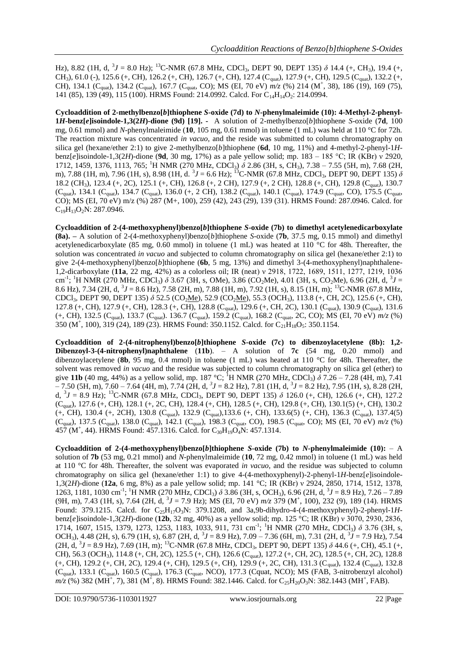Hz), 8.82 (1H, d,  $3J = 8.0$  Hz); <sup>13</sup>C-NMR (67.8 MHz, CDCl<sub>3</sub>, DEPT 90, DEPT 135)  $\delta$  14.4 (+, CH<sub>3</sub>), 19.4 (+, CH<sub>3</sub>), 61.0 (-), 125.6 (+, CH), 126.2 (+, CH), 126.7 (+, CH), 127.4 (C<sub>quat</sub>), 127.9 (+, CH), 129.5 (C<sub>quat</sub>), 132.2 (+, CH), 134.1 (C<sub>quat</sub>), 134.2 (C<sub>quat</sub>), 167.7 (C<sub>quat</sub>, CO); MS (EI, 70 eV)  $m/z$  (%) 214 (M<sup>+</sup>, 38), 186 (19), 169 (75), 141 (85), 139 (49), 115 (100). HRMS Found: 214.0992. Calcd. For C<sub>14</sub>H<sub>14</sub>O<sub>2</sub>: 214.0994.

**Cycloaddition of 2-methylbenzo[***b***]thiophene** *S***-oxide (7d) to** *N***-phenylmaleimide (10): 4-Methyl-2-phenyl-1***H***-benz[***e***]isoindole-1,3(2***H***)-dione (9d) [19]. -** A solution of 2-methylbenzo[*b*]thiophene *S*-oxide (**7d**, 100 mg, 0.61 mmol) and *N*-phenylmaleimide (**10**, 105 mg, 0.61 mmol) in toluene (1 mL) was held at 110 °C for 72h. The reaction mixture was concentrated *in vacuo*, and the reside was submitted to column chromatography on silica gel (hexane/ether 2:1) to give 2-methylbenzo[*b*]thiophene (**6d**, 10 mg, 11%) and 4-methyl-2-phenyl-1*H*benz[*e*]isoindole-1,3(2*H*)-dione (**9d**, 30 mg, 17%) as a pale yellow solid; mp. 183 – 185 °C; IR (KBr) ν 2920, 1712, 1459, 1376, 1113, 765; <sup>1</sup>H NMR (270 MHz, CDCl<sub>3</sub>)  $\delta$  2.86 (3H, s, CH<sub>3</sub>), 7.38 – 7.55 (5H, m), 7.68 (2H, m), 7.88 (1H, m), 7.96 (1H, s), 8.98 (1H, d. <sup>3</sup>J = 6.6 Hz); <sup>13</sup>C-NMR (67.8 MHz, CDCl<sub>3</sub>, DEPT 90, DEPT 135) *δ* 18.2 (CH<sub>3</sub>), 123.4 (+, 2C), 125.1 (+, CH), 126.8 (+, 2 CH), 127.9 (+, 2 CH), 128.8 (+, CH), 129.8 (C<sub>quat</sub>), 130.7  $(C_{\text{quat}})$ , 134.1  $(C_{\text{quat}})$ , 134.7  $(C_{\text{quat}})$ , 136.0 (+, 2 CH), 138.2  $(C_{\text{quat}})$ , 140.1  $(C_{\text{quat}})$ , 174.9  $(C_{\text{quat}})$ , CO), 175.5  $(C_{\text{quat}})$ CO); MS (EI, 70 eV) m/z (%) 287 (M+, 100), 259 (42), 243 (29), 139 (31). HRMS Found: 287.0946. Calcd. for  $C_{19}H_{13}O_2N$ : 287.0946.

**Cycloaddition of 2-(4-methoxyphenyl)benzo[***b***]thiophene** *S***-oxide (7b) to dimethyl acetylenedicarboxylate (8a). –** A solution of 2-(4-methoxyphenyl)benzo[*b*]thiophene *S*-oxide (**7b**, 37.5 mg, 0.15 mmol) and dimethyl acetylenedicarboxylate (85 mg, 0.60 mmol) in toluene (1 mL) was heated at 110 °C for 48h. Thereafter, the solution was concentrated *in vacuo* and subjected to column chromatography on silica gel (hexane/ether 2:1) to give 2-(4-methoxyphenyl)benzo[*b*]thiophene (**6b**, 5 mg, 13%) and dimethyl 3-(4-methoxyphenyl)naphthalene-1,2-dicarboxylate (**11a**, 22 mg, 42%) as a colorless oil; IR (neat) ν 2918, 1722, 1689, 1511, 1277, 1219, 1036 cm<sup>-1</sup>; <sup>1</sup>H NMR (270 MHz, CDCl<sub>3</sub>)  $\delta$  3.67 (3H, s, OMe), 3.86 (CO<sub>2</sub>Me), 4.01 (3H, s, CO<sub>2</sub>Me), 6.96 (2H, d, <sup>3</sup>J = 8.6 Hz), 7.34 (2H, d,  $3J = 8.6$  Hz), 7.58 (2H, m), 7.88 (1H, m), 7.92 (1H, s), 8.15 (1H, m); <sup>13</sup>C-NMR (67.8 MHz, CDCl<sub>3</sub>, DEPT 90, DEPT 135) *δ* 52.5 (CO<sub>2</sub>Me), 52.9 (CO<sub>2</sub>Me), 55.3 (OCH<sub>3</sub>), 113.8 (+, CH, 2C), 125.6 (+, CH), 127.8 (+, CH), 127.9 (+, CH), 128.3 (+, CH), 128.8 (C<sub>quat</sub>), 129.6 (+, CH, 2C), 130.1 (C<sub>quat</sub>), 130.9 (C<sub>quat</sub>), 131.6  $(+, CH)$ , 132.5 (C<sub>quat</sub>), 133.7 (C<sub>quat</sub>). 136.7 (C<sub>quat</sub>), 159.2 (C<sub>quat</sub>), 168.2 (C<sub>quat</sub>, 2C, CO); MS (EI, 70 eV)  $m/z$  (%) 350 (M<sup>+</sup>, 100), 319 (24), 189 (23). HRMS Found: 350.1152. Calcd. for C<sub>21</sub>H<sub>18</sub>O<sub>5</sub>: 350.1154.

**Cycloaddition of 2-(4-nitrophenyl)benzo[***b***]thiophene** *S***-oxide (7c) to dibenzoylacetylene (8b): 1,2- Dibenzoyl-3-(4-nitrophenyl)naphthalene** (**11b**). – A solution of **7c** (54 mg, 0.20 mmol) and dibenzoylacetylene (**8b**, 95 mg, 0.4 mmol) in toluene (1 mL) was heated at 110 °C for 48h. Thereafter, the solvent was removed *in vacuo* and the residue was subjected to column chromatography on silica gel (ether) to give 11b (40 mg, 44%) as a yellow solid, mp. 187 °C; <sup>1</sup>H NMR (270 MHz, CDCl<sub>3</sub>)  $\delta$  7.26 – 7.28 (4H, m), 7.41  $-7.50$  (5H, m),  $7.60 - 7.64$  (4H, m),  $7.74$  (2H, d,  $3J = 8.2$  Hz),  $7.81$  (1H, d,  $3J = 8.2$  Hz),  $7.95$  (1H, s), 8.28 (2H, d, <sup>3</sup> *J* = 8.9 Hz); <sup>13</sup>C-NMR (67.8 MHz, CDCl3, DEPT 90, DEPT 135) *δ* 126.0 (+, CH), 126.6 (+, CH), 127.2 (Cquat), 127.6 (+, CH), 128.1 (+, 2C, CH), 128.4 (+, CH), 128.5 (+, CH), 129.8 (+, CH), 130.1(5) (+, CH), 130.2  $(+, CH)$ , 130.4  $(+, 2CH)$ , 130.8  $(C_{\text{quat}})$ , 132.9  $(C_{\text{quat}})$ , 133.6  $(+, CH)$ , 133.6(5)  $(+, CH)$ , 136.3  $(C_{\text{quat}})$ , 137.4(5) (Cquat), 137.5 (Cquat), 138.0 (Cquat), 142.1 (Cquat), 198.3 (Cquat, CO), 198.5 (Cquat, CO); MS (EI, 70 eV) *m/z* (%) 457 (M<sup>+</sup>, 44). HRMS Found: 457.1316. Calcd. for C<sub>30</sub>H<sub>19</sub>O<sub>4</sub>N: 457.1314.

**Cycloaddition of 2-(4-methoxyphenyl)benzo[***b***]thiophene** *S***-oxide (7b) to** *N***-phenylmaleimide (10):** – A solution of **7b** (53 mg, 0.21 mmol) and *N*-phenylmaleimide (**10**, 72 mg, 0.42 mmol) in toluene (1 mL) was held at 110 °C for 48h. Thereafter, the solvent was evaporated *in vacuo*, and the residue was subjected to column chromatography on silica gel (hexane/ether 1:1) to give 4-(4-methoxyphenyl)-2-phenyl-1*H*-benz[*e*]isoindole-1,3(2*H*)-dione (**12a**, 6 mg, 8%) as a pale yellow solid; mp. 141 °C; IR (KBr) ν 2924, 2850, 1714, 1512, 1378, 1263, 1181, 1030 cm<sup>-1</sup>; <sup>1</sup>H NMR (270 MHz, CDCl<sub>3</sub>)  $\delta$  3.86 (3H, s, OCH<sub>3</sub>), 6.96 (2H, d, <sup>3</sup>J = 8.9 Hz), 7.26 – 7.89  $(9H, m)$ , 7.43 (1H, s), 7.64 (2H, d,  $3J = 7.9$  Hz); MS (EI, 70 eV)  $m/z$  379 (M<sup>+</sup>, 100), 232 (9), 189 (14). HRMS Found: 379.1215. Calcd. for C<sub>25</sub>H<sub>17</sub>O<sub>3</sub>N: 379.1208, and 3a,9b-dihydro-4-(4-methoxyphenyl)-2-phenyl-1Hbenz[*e*]isoindole-1,3(2*H*)-dione (**12b**, 32 mg, 40%) as a yellow solid; mp. 125 °C; IR (KBr) ν 3070, 2930, 2836, 1714, 1607, 1515, 1379, 1273, 1253, 1183, 1033, 911, 731 cm<sup>-1</sup>; <sup>1</sup>H NMR (270 MHz, CDCl<sub>3</sub>) δ 3.76 (3H, s, OCH<sub>3</sub>), 4.48 (2H, s), 6.79 (1H, s), 6.87 (2H, d, <sup>3</sup>J = 8.9 Hz), 7.09 – 7.36 (6H, m), 7.31 (2H, d, <sup>3</sup>J = 7.9 Hz), 7.54 (2H, d, <sup>3</sup> *J* = 8.9 Hz), 7.69 (1H, m); <sup>13</sup>C-NMR (67.8 MHz, CDCl3, DEPT 90, DEPT 135) *δ* 44.6 (+, CH), 45.1 (+, CH), 56.3 (OCH<sub>3</sub>), 114.8 (+, CH, 2C), 125.5 (+, CH), 126.6 (C<sub>quat</sub>), 127.2 (+, CH, 2C), 128.5 (+, CH, 2C), 128.8 (+, CH), 129.2 (+, CH, 2C), 129.4 (+, CH), 129.5 (+, CH), 129.9 (+, 2C, CH), 131.3 (C<sub>quat</sub>), 132.4 (C<sub>quat</sub>), 132.8 (C<sub>quat</sub>), 133.1 (C<sub>quat</sub>), 160.5 (C<sub>quat</sub>), 176.3 (C<sub>quat</sub>, NCO), 177.3 (Cquat, NCO); MS (FAB, 3-nitrobenzyl alcohol)  $m/z$  (%) 382 (MH<sup>+</sup>, 7), 381 (M<sup>+</sup>, 8). HRMS Found: 382.1446. Calcd. for C<sub>25</sub>H<sub>20</sub>O<sub>3</sub>N: 382.1443 (MH<sup>+</sup>, FAB).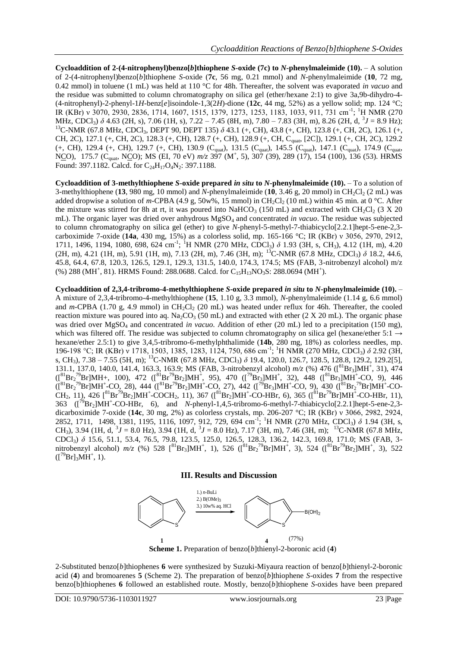**Cycloaddition of 2-(4-nitrophenyl)benzo[***b***]thiophene** *S***-oxide (7c) to** *N***-phenylmaleimide (10).** – A solution of 2-(4-nitrophenyl)benzo[*b*]thiophene *S*-oxide (**7c**, 56 mg, 0.21 mmol) and *N*-phenylmaleimide (**10**, 72 mg, 0.42 mmol) in toluene (1 mL) was held at 110 °C for 48h. Thereafter, the solvent was evaporated *in vacuo* and the residue was submitted to column chromatography on silica gel (ether/hexane 2:1) to give 3a,9b-dihydro-4- (4-nitrophenyl)-2-phenyl-1*H*-benz[*e*]isoindole-1,3(2*H*)-dione (**12c**, 44 mg, 52%) as a yellow solid; mp. 124 °C; IR (KBr) v 3070, 2930, 2836, 1714, 1607, 1515, 1379, 1273, 1253, 1183, 1033, 911, 731 cm<sup>-1</sup>; <sup>1</sup>H NMR (270 MHz, CDCl<sub>3</sub>) δ 4.63 (2H, s), 7.06 (1H, s), 7.22 – 7.45 (8H, m), 7.80 – 7.83 (3H, m), 8.26 (2H, d, <sup>3</sup>J = 8.9 Hz); <sup>13</sup>C-NMR (67.8 MHz, CDCl<sub>3</sub>, DEPT 90, DEPT 135)  $\delta$  43.1 (+, CH), 43.8 (+, CH), 123.8 (+, CH, 2C), 126.1 (+, CH, 2C), 127.1 (+, CH, 2C), 128.3 (+, CH), 128.7 (+, CH), 128.9 (+, CH, Cquat, [2C]), 129.1 (+, CH, 2C), 129.2  $(+, CH)$ , 129.4  $(+, CH)$ , 129.7  $(+, CH)$ , 130.9  $(C_{quat})$ , 131.5  $(C_{quat})$ , 145.5  $(C_{quat})$ , 147.1  $(C_{quat})$ , 174.9  $(C_{quat})$ NCO), 175.7 (C<sub>quat</sub>, NCO); MS (EI, 70 eV) *m/z* 397 (M<sup>+</sup>, 5), 307 (39), 289 (17), 154 (100), 136 (53). HRMS Found: 397.1182. Calcd. for  $C_{24}H_{17}O_4N_2$ : 397.1188.

**Cycloaddition of 3-methylthiophene** *S***-oxide prepared** *in situ* **to** *N***-phenylmaleimide (10).** – To a solution of 3-methylthiophene (13, 980 mg, 10 mmol) and *N*-phenylmaleimide (10, 3.46 g, 20 mmol) in CH<sub>2</sub>Cl<sub>2</sub> (2 mL) was added dropwise a solution of *m*-CPBA (4.9 g, 50w%, 15 mmol) in CH<sub>2</sub>Cl<sub>2</sub> (10 mL) within 45 min. at 0 °C. After the mixture was stirred for 8h at rt, it was poured into NaHCO<sub>3</sub> (150 mL) and extracted with CH<sub>2</sub>Cl<sub>2</sub> (3 X 20) mL). The organic layer was dried over anhydrous MgSO<sup>4</sup> and concentrated *in vacuo*. The residue was subjected to column chromatography on silica gel (ether) to give *N*-phenyl-5-methyl-7-thiabicyclo[2.2.1]hept-5-ene-2,3 carboximide 7-oxide (**14a**, 430 mg, 15%) as a colorless solid, mp. 165-166 °C; IR (KBr) ν 3056, 2970, 2912, 1711, 1496, 1194, 1080, 698, 624 cm<sup>-1</sup>; <sup>1</sup>H NMR (270 MHz, CDCl<sub>3</sub>) δ 1.93 (3H, s, CH<sub>3</sub>), 4.12 (1H, m), 4.20 (2H, m), 4.21 (1H, m), 5.91 (1H, m), 7.13 (2H, m), 7.46 (3H, m); <sup>13</sup>C-NMR (67.8 MHz, CDCl3) *δ* 18.2, 44.6, 45.8, 64.4, 67.8, 120.3, 126.5, 129.1, 129.3, 131.5, 140.0, 174.3, 174.5; MS (FAB, 3-nitrobenzyl alcohol) m/z  $(\%)$  288 (MH<sup>+</sup>, 81). HRMS Found: 288.0688. Calcd. for C<sub>15</sub>H<sub>13</sub>NO<sub>3</sub>S: 288.0694 (MH<sup>+</sup>).

**Cycloaddition of 2,3,4-tribromo-4-methylthiophene** *S***-oxide prepared** *in situ* **to** *N***-phenylmaleimide (10).** – A mixture of 2,3,4-tribromo-4-methylthiophene (**15**, 1.10 g, 3.3 mmol), *N*-phenylmaleimide (1.14 g, 6.6 mmol) and  $m$ -CPBA (1.70 g, 4.9 mmol) in CH<sub>2</sub>Cl<sub>2</sub> (20 mL) was heated under reflux for 46h. Thereafter, the cooled reaction mixture was poured into aq.  $Na_2CO_3$  (50 mL) and extracted with ether (2 X 20 mL). The organic phase was dried over MgSO<sup>4</sup> and concentrated *in vacuo*. Addition of ether (20 mL) led to a precipitation (150 mg), which was filtered off. The residue was subjected to column chromatography on silica gel (hexane/ether 5:1  $\rightarrow$ hexane/ether 2.5:1) to give 3,4,5-tribromo-6-methylphthalimide (**14b**, 280 mg, 18%) as colorless needles, mp. 196-198 °C; IR (KBr) ν 1718, 1503, 1385, 1283, 1124, 750, 686 cm-1 ; <sup>1</sup>H NMR (270 MHz, CDCl3) *δ* 2.92 (3H, s, CH3), 7.38 – 7.55 (5H, m); <sup>13</sup>C-NMR (67.8 MHz, CDCl3) *δ* 19.4, 120.0, 126.7, 128.5, 128.8, 129.2, 129.2[5], 131.1, 137.0, 140.0, 141.4, 163.3, 163.9; MS (FAB, 3-nitrobenzyl alcohol)  $m/z$  (%) 476 ([<sup>81</sup>Br<sub>3</sub>]MH<sup>+</sup>, 31), 474  $({[^{81}Br_2^{79}Br]MH+$ , 100), 472  $({[^{81}Br^{79}Br_2]MH^+, 95})$ , 470  $({[^{79}Br_3]MH^+, 32})$ , 448  $({[^{81}Br_3]MH^+CO, 9})$ , 446  $({[^{81}Br_2^{79}Br]MH^+CO, 28})$ , 444  $({[^{81}Br^{79}Br_2]MH^+CO, 27})$ , 442  $({[^{79}Br_3]MH^+CO, 9})$ , 430  $({[^{81}Br_2^{79}Br]MH^+CO^-})$ CH<sub>2</sub>, 11), 426 [<sup>81</sup>Br<sup>79</sup>Br<sub>2</sub>]MH<sup>+</sup>-COCH<sub>2</sub>, 11), 367 ([<sup>81</sup>Br<sub>2</sub>]MH<sup>+</sup>-CO-HBr, 6), 365 ([<sup>81</sup>Br<sup>79</sup>Br]MH<sup>+</sup>-CO-HBr, 11), 363  $\left(\frac{79}{8}Br_2\right]MH^+$ -CO-HBr, 6), and *N*-phenyl-1,4,5-tribromo-6-methyl-7-thiabicyclo[2.2.1]hept-5-ene-2,3dicarboximide 7-oxide (**14c**, 30 mg, 2%) as colorless crystals, mp. 206-207 °C; IR (KBr) ν 3066, 2982, 2924, 2852, 1711, 1498, 1381, 1195, 1116, 1097, 912, 729, 694 cm<sup>-1</sup>; <sup>1</sup>H NMR (270 MHz, CDCl<sub>3</sub>) δ 1.94 (3H, s, CH<sub>3</sub>), 3.94 (1H, d,  ${}^{3}J = 8.0$  Hz), 3.94 (1H, d,  ${}^{3}J = 8.0$  Hz), 7.17 (3H, m), 7.46 (3H, m); <sup>13</sup>C-NMR (67.8 MHz, CDCl3) *δ* 15.6, 51.1, 53.4, 76.5, 79.8, 123.5, 125.0, 126.5, 128.3, 136.2, 142.3, 169.8, 171.0; MS (FAB, 3 nitrobenzyl alcohol)  $m/z$  (%) 528 [<sup>81</sup>Br<sub>3</sub>]MH<sup>+</sup>, 1), 526 ([<sup>81</sup>Br<sub>2</sub><sup>79</sup>Br]MH<sup>+</sup>, 3), 524 ([<sup>81</sup>Br<sup>79</sup>Br<sub>2</sub>]MH<sup>+</sup>, 3), 522  $([^{79}Br]_3MH^+, 1).$ 

#### **III. Results and Discussion**



**Scheme 1.** Preparation of benzo[*b*]thienyl-2-boronic acid (**4**)

2-Substituted benzo[*b*]thiophenes **6** were synthesized by Suzuki-Miyaura reaction of benzo[*b*]thienyl-2-boronic acid (**4**) and bromoarenes **5** (Scheme 2). The preparation of benzo[*b*]thiophene *S*-oxides **7** from the respective benzo[b]thiophenes **6** followed an established route. Mostly, benzo[*b*]thiophene *S*-oxides have been prepared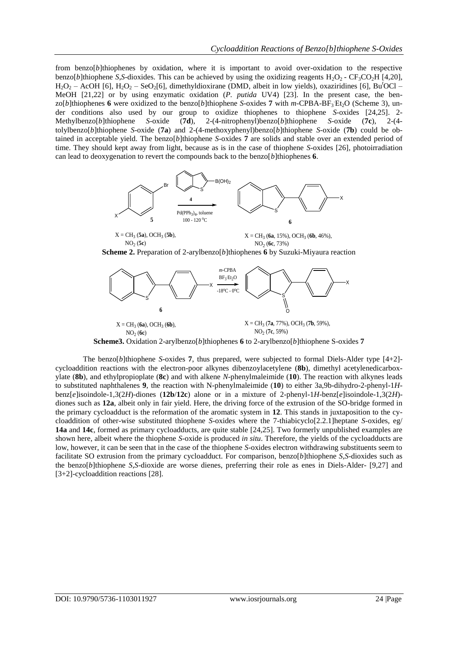from benzo[*b*]thiophenes by oxidation, where it is important to avoid over-oxidation to the respective benzo[*b*]thiophene *S*,*S*-dioxides. This can be achieved by using the oxidizing reagents  $H_2O_2$  -  $CF_3CO_2H$  [4,20], H2O<sup>2</sup> – AcOH [6], H2O<sup>2</sup> – SeO2[6], dimethyldioxirane (DMD, albeit in low yields), oxaziridines [6], Bu*<sup>t</sup>*OCl – MeOH [21,22] or by using enzymatic oxidation (*P. putida* UV4) [23]. In the present case, the benzo[b]thiophenes 6 were oxidized to the benzo[b]thiophene *S*-oxides 7 with *m*-CPBA-BF<sub>3</sub> Et<sub>2</sub>O (Scheme 3), under conditions also used by our group to oxidize thiophenes to thiophene *S*-oxides [24,25]. 2-<br>Methylbenzo[*b*]thiophene *S*-oxide (7**d**), 2-(4-nitrophenyl)benzo[*b*]thiophene *S*-oxide (7c), 2-(4-Methylbenzo[*b*]thiophene *S*-oxide (**7d**), 2-(4-nitrophenyl)benzo[*b*]thiophene *S*-oxide (**7c**), 2-(4 tolylbenzo[*b*]thiophene *S*-oxide (**7a**) and 2-(4-methoxyphenyl)benzo[*b*]thiophene *S*-oxide (**7b**) could be obtained in acceptable yield. The benzo[*b*]thiophene *S*-oxides **7** are solids and stable over an extended period of time. They should kept away from light, because as is in the case of thiophene *S*-oxides [26], photoirradiation can lead to deoxygenation to revert the compounds back to the benzo[*b*]thiophenes **6**.



**Scheme 2.** Preparation of 2-arylbenzo[*b*]thiophenes **6** by Suzuki-Miyaura reaction



The benzo[*b*]thiophene *S*-oxides **7**, thus prepared, were subjected to formal Diels-Alder type [4+2] cycloaddition reactions with the electron-poor alkynes dibenzoylacetylene (**8b**), dimethyl acetylenedicarboxylate (**8b**), and ethylpropioplate (**8c**) and with alkene *N*-phenylmaleimide (**10**). The reaction with alkynes leads to substituted naphthalenes **9**, the reaction with N-phenylmaleimide (**10**) to either 3a,9b-dihydro-2-phenyl-1*H*benz[*e*]isoindole-1,3(2*H*)-diones (**12b**/**12c**) alone or in a mixture of 2-phenyl-1*H*-benz[*e*]isoindole-1,3(2*H*) diones such as **12a**, albeit only in fair yield. Here, the driving force of the extrusion of the SO-bridge formed in the primary cycloadduct is the reformation of the aromatic system in **12**. This stands in juxtaposition to the cycloaddition of other-wise substituted thiophene *S*-oxides where the 7-thiabicyclo[2.2.1]heptane *S*-oxides, eg/ **14a** and **14c**, formed as primary cycloadducts, are quite stable [24,25]. Two formerly unpublished examples are shown here, albeit where the thiophene *S*-oxide is produced *in situ*. Therefore, the yields of the cycloadducts are low, however, it can be seen that in the case of the thiophene *S*-oxides electron withdrawing substituents seem to facilitate SO extrusion from the primary cycloadduct. For comparison, benzo[*b*]thiophene *S*,*S*-dioxides such as the benzo[*b*]thiophene *S*,*S*-dioxide are worse dienes, preferring their role as enes in Diels-Alder- [9,27] and [3+2]-cycloaddition reactions [28].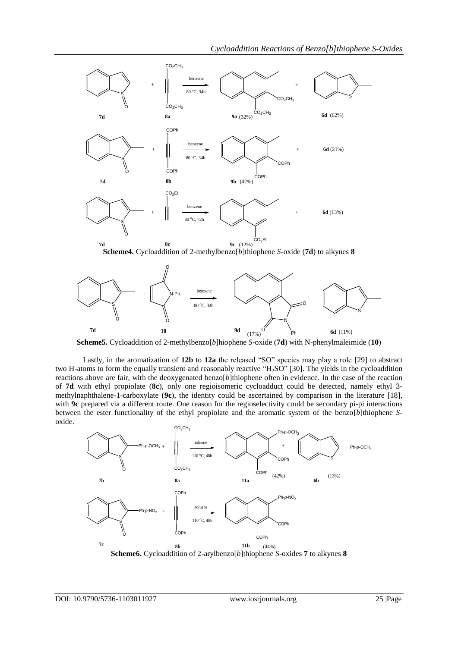

**Scheme5.** Cycloaddition of 2-methylbenzo[*b*]hiophene *S*-oxide (**7d**) with N-phenylmaleimide (**10**)

Lastly, in the aromatization of **12b** to **12a** the released "SO" species may play a role [29] to abstract two H-atoms to form the equally transient and reasonably reactive "H<sub>2</sub>SO" [30]. The yields in the cycloaddition reactions above are fair, with the deoxygenated benzo[*b*]thiophene often in evidence. In the case of the reaction of **7d** with ethyl propiolate (**8c**), only one regioisomeric cycloadduct could be detected, namely ethyl 3 methylnaphthalene-1-carboxylate (**9c**), the identity could be ascertained by comparison in the literature [18], with **9c** prepared via a different route. One reason for the regioselectivity could be secondary pi-pi interactions between the ester functionality of the ethyl propiolate and the aromatic system of the benzo[*b*]thiophene *S*oxide.

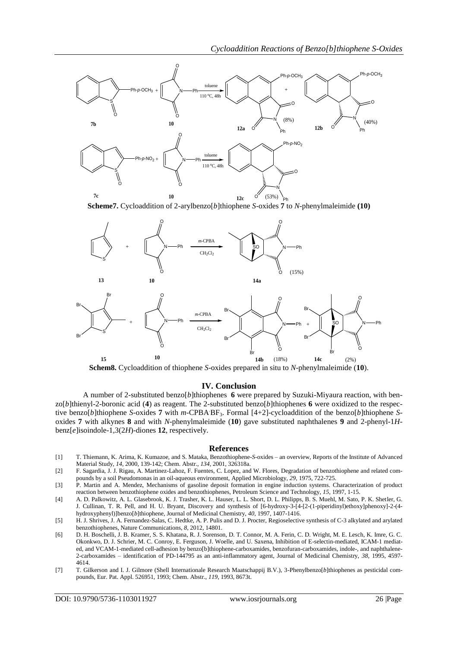

Ph **Scheme7.** Cycloaddition of 2-arylbenzo[*b*]thiophene *S*-oxides **7** to *N*-phenylmaleimide **(10)**



**Schem8.** Cycloaddition of thiophene *S*-oxides prepared in situ to *N*-phenylmaleimide (**10**).

#### **IV. Conclusion**

A number of 2-substituted benzo[*b*]thiophenes **6** were prepared by Suzuki-Miyaura reaction, with ben $z \circ [b]$ thienyl-2-boronic acid (4) as reagent. The 2-substituted benzo[b]thiophenes **6** were oxidized to the respective benzo[*b*]thiophene *S*-oxides **7** with *m*-CPBA.BF3. Formal [4+2]-cycloaddition of the benzo[*b*]thiophene *S*oxides **7** with alkynes **8** and with *N*-phenylmaleimide (**10**) gave substituted naphthalenes **9** and 2-phenyl-1*H*benz[*e*]isoindole-1,3(2*H*)-diones **12**, respectively.

#### **References**

- [1] T. Thiemann, K. Arima, K. Kumazoe, and S. Mataka, Benzothiophene-*S*-oxides an overview, Reports of the Institute of Advanced Material Study, *14*, 2000, 139-142; Chem. Abstr., *134,* 2001, 326318a.
- [2] F. Sagardia, J. J. Rigau, A. Martinez-Lahoz, F. Fuentes, C. Lopez, and W. Flores, Degradation of benzothiophene and related compounds by a soil Pseudomonas in an oil-aqueous environment, Applied Microbiology, *29*, 1975, 722-725.
- [3] P. Martin and A. Mendez, Mechanisms of gasoline deposit formation in engine induction systems. Characterization of product reaction between benzothiophene oxides and benzothiophenes, Petroleum Science and Technology, *15*, 1997, 1-15.
- [4] A. D. Palkowitz, A. L. Glasebrook, K. J. Trasher, K. L. Hauser, L. L. Short, D. L. Philipps, B. S. Muehl, M. Sato, P. K. Shetler, G. J. Cullinan, T. R. Pell, and H. U. Bryant, Discovery and synthesis of [6-hydroxy-3-[4-[2-(1-piperidinyl)ethoxy]phenoxy]-2-(4 hydroxyphenyl)]benzo[*b*]thiophene, Journal of Medicinal Chemistry, *40*, 1997, 1407-1416.
- [5] H. J. Shrives, J. A. Fernandez-Salas, C. Hedtke, A. P. Pulis and D. J. Procter, Regioselective synthesis of C-3 alkylated and arylated benzothiophenes, Nature Communications, *8*, 2012, 14801.
- [6] D. H. Boschelli, J. B. Kramer, S. S. Khatana, R. J. Sorenson, D. T. Connor, M. A. Ferin, C. D. Wright, M. E. Lesch, K. Imre, G. C. Okonkwo, D. J. Schrier, M. C. Conroy, E. Ferguson, J. Woelle, and U. Saxena, Inhibition of E-selectin-mediated, ICAM-1 mediated, and VCAM-1-mediated cell-adhesion by benzo[b]thiophene-carboxamides, benzofuran-carboxamides, indole-, and naphthalene-2-carboxamides – identification of PD-144795 as an anti-inflammatory agent, Journal of Medicinal Chemistry, *38*, 1995, 4597- 4614.
- [7] T. Gilkerson and I. J. Gilmore (Shell Internationale Research Maatschappij B.V.), 3-Phenylbenzo[*b*]thiophenes as pesticidal compounds, Eur. Pat. Appl. 526951, 1993; Chem. Abstr., *119*, 1993, 8673t.